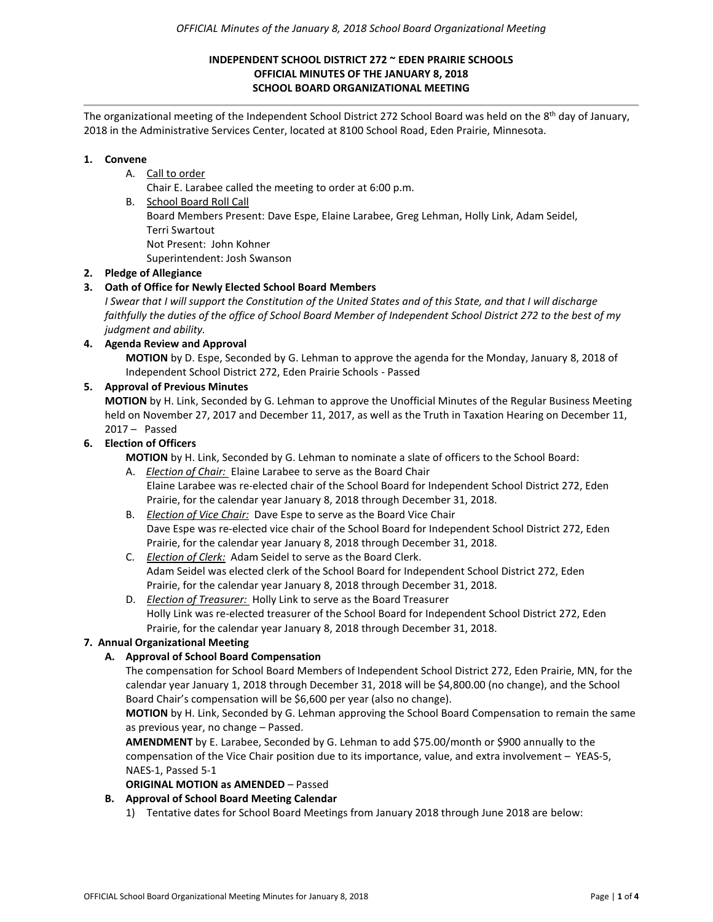### **INDEPENDENT SCHOOL DISTRICT 272 ~ EDEN PRAIRIE SCHOOLS OFFICIAL MINUTES OF THE JANUARY 8, 2018 SCHOOL BOARD ORGANIZATIONAL MEETING**

The organizational meeting of the Independent School District 272 School Board was held on the 8<sup>th</sup> day of January, 2018 in the Administrative Services Center, located at 8100 School Road, Eden Prairie, Minnesota.

### **1. Convene**

# A. Call to order

Chair E. Larabee called the meeting to order at 6:00 p.m.

B. School Board Roll Call

Board Members Present: Dave Espe, Elaine Larabee, Greg Lehman, Holly Link, Adam Seidel, Terri Swartout

Not Present: John Kohner

Superintendent: Josh Swanson

# **2. Pledge of Allegiance**

# **3. Oath of Office for Newly Elected School Board Members**

*I Swear that I will support the Constitution of the United States and of this State, and that I will discharge faithfully the duties of the office of School Board Member of Independent School District 272 to the best of my judgment and ability.*

#### **4. Agenda Review and Approval**

**MOTION** by D. Espe, Seconded by G. Lehman to approve the agenda for the Monday, January 8, 2018 of Independent School District 272, Eden Prairie Schools - Passed

### **5. Approval of Previous Minutes**

**MOTION** by H. Link, Seconded by G. Lehman to approve the Unofficial Minutes of the Regular Business Meeting held on November 27, 2017 and December 11, 2017, as well as the Truth in Taxation Hearing on December 11, 2017 – Passed

### **6. Election of Officers**

**MOTION** by H. Link, Seconded by G. Lehman to nominate a slate of officers to the School Board:

A. *Election of Chair:* Elaine Larabee to serve as the Board Chair Elaine Larabee was re-elected chair of the School Board for Independent School District 272, Eden Prairie, for the calendar year January 8, 2018 through December 31, 2018.

B. *Election of Vice Chair:* Dave Espe to serve as the Board Vice Chair Dave Espe was re-elected vice chair of the School Board for Independent School District 272, Eden Prairie, for the calendar year January 8, 2018 through December 31, 2018.

- C. *Election of Clerk:* Adam Seidel to serve as the Board Clerk. Adam Seidel was elected clerk of the School Board for Independent School District 272, Eden Prairie, for the calendar year January 8, 2018 through December 31, 2018.
- D. *Election of Treasurer:* Holly Link to serve as the Board Treasurer Holly Link was re-elected treasurer of the School Board for Independent School District 272, Eden Prairie, for the calendar year January 8, 2018 through December 31, 2018.

# **7. Annual Organizational Meeting**

# **A. Approval of School Board Compensation**

The compensation for School Board Members of Independent School District 272, Eden Prairie, MN, for the calendar year January 1, 2018 through December 31, 2018 will be \$4,800.00 (no change), and the School Board Chair's compensation will be \$6,600 per year (also no change).

**MOTION** by H. Link, Seconded by G. Lehman approving the School Board Compensation to remain the same as previous year, no change – Passed.

**AMENDMENT** by E. Larabee, Seconded by G. Lehman to add \$75.00/month or \$900 annually to the compensation of the Vice Chair position due to its importance, value, and extra involvement – YEAS-5, NAES-1, Passed 5-1

#### **ORIGINAL MOTION as AMENDED** – Passed

# **B. Approval of School Board Meeting Calendar**

1) Tentative dates for School Board Meetings from January 2018 through June 2018 are below: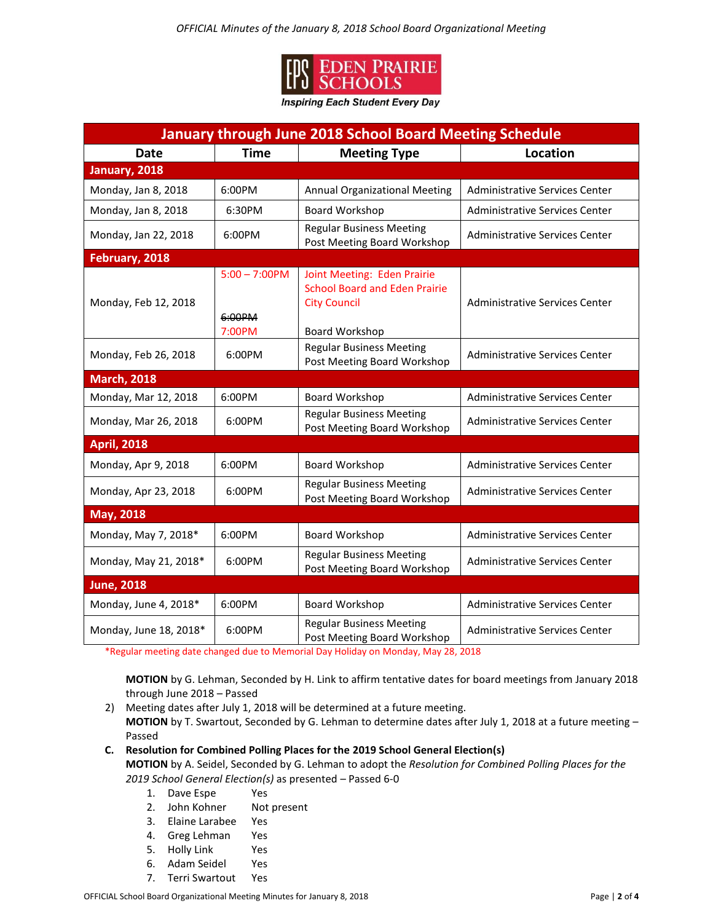

**Inspiring Each Student Every Day** 

| <b>January through June 2018 School Board Meeting Schedule</b> |                                      |                                                                                                              |                                       |
|----------------------------------------------------------------|--------------------------------------|--------------------------------------------------------------------------------------------------------------|---------------------------------------|
| <b>Date</b>                                                    | <b>Time</b>                          | <b>Meeting Type</b>                                                                                          | <b>Location</b>                       |
| January, 2018                                                  |                                      |                                                                                                              |                                       |
| Monday, Jan 8, 2018                                            | 6:00PM                               | <b>Annual Organizational Meeting</b>                                                                         | <b>Administrative Services Center</b> |
| Monday, Jan 8, 2018                                            | 6:30PM                               | Board Workshop                                                                                               | Administrative Services Center        |
| Monday, Jan 22, 2018                                           | 6:00PM                               | <b>Regular Business Meeting</b><br>Post Meeting Board Workshop                                               | <b>Administrative Services Center</b> |
| February, 2018                                                 |                                      |                                                                                                              |                                       |
| Monday, Feb 12, 2018                                           | $5:00 - 7:00$ PM<br>6:00PM<br>7:00PM | Joint Meeting: Eden Prairie<br><b>School Board and Eden Prairie</b><br><b>City Council</b><br>Board Workshop | <b>Administrative Services Center</b> |
| Monday, Feb 26, 2018                                           | 6:00PM                               | <b>Regular Business Meeting</b><br>Post Meeting Board Workshop                                               | <b>Administrative Services Center</b> |
| <b>March, 2018</b>                                             |                                      |                                                                                                              |                                       |
| Monday, Mar 12, 2018                                           | 6:00PM                               | Board Workshop                                                                                               | <b>Administrative Services Center</b> |
| Monday, Mar 26, 2018                                           | 6:00PM                               | <b>Regular Business Meeting</b><br>Post Meeting Board Workshop                                               | Administrative Services Center        |
| <b>April, 2018</b>                                             |                                      |                                                                                                              |                                       |
| Monday, Apr 9, 2018                                            | 6:00PM                               | Board Workshop                                                                                               | <b>Administrative Services Center</b> |
| Monday, Apr 23, 2018                                           | 6:00PM                               | <b>Regular Business Meeting</b><br>Post Meeting Board Workshop                                               | Administrative Services Center        |
| May, 2018                                                      |                                      |                                                                                                              |                                       |
| Monday, May 7, 2018*                                           | 6:00PM                               | Board Workshop                                                                                               | <b>Administrative Services Center</b> |
| Monday, May 21, 2018*                                          | 6:00PM                               | <b>Regular Business Meeting</b><br>Post Meeting Board Workshop                                               | Administrative Services Center        |
| <b>June, 2018</b>                                              |                                      |                                                                                                              |                                       |
| Monday, June 4, 2018*                                          | 6:00PM                               | Board Workshop                                                                                               | <b>Administrative Services Center</b> |
| Monday, June 18, 2018*                                         | 6:00PM                               | <b>Regular Business Meeting</b><br>Post Meeting Board Workshop                                               | Administrative Services Center        |

\*Regular meeting date changed due to Memorial Day Holiday on Monday, May 28, 2018

**MOTION** by G. Lehman, Seconded by H. Link to affirm tentative dates for board meetings from January 2018 through June 2018 – Passed

- 2)Meeting dates after July 1, 2018 will be determined at a future meeting.  **MOTION** by T. Swartout, Seconded by G. Lehman to determine dates after July 1, 2018 at a future meeting – Passed
- **C. Resolution for Combined Polling Places for the 2019 School General Election(s)**

**MOTION** by A. Seidel, Seconded by G. Lehman to adopt the *Resolution for Combined Polling Places for the 2019 School General Election(s)* as presented – Passed 6-0

- 1. Dave Espe Yes
- 2. John Kohner Not present
- 3. Elaine Larabee Yes
- 4. Greg Lehman Yes
- 5. Holly Link Yes
- 6. Adam Seidel Yes
- 7. Terri Swartout Yes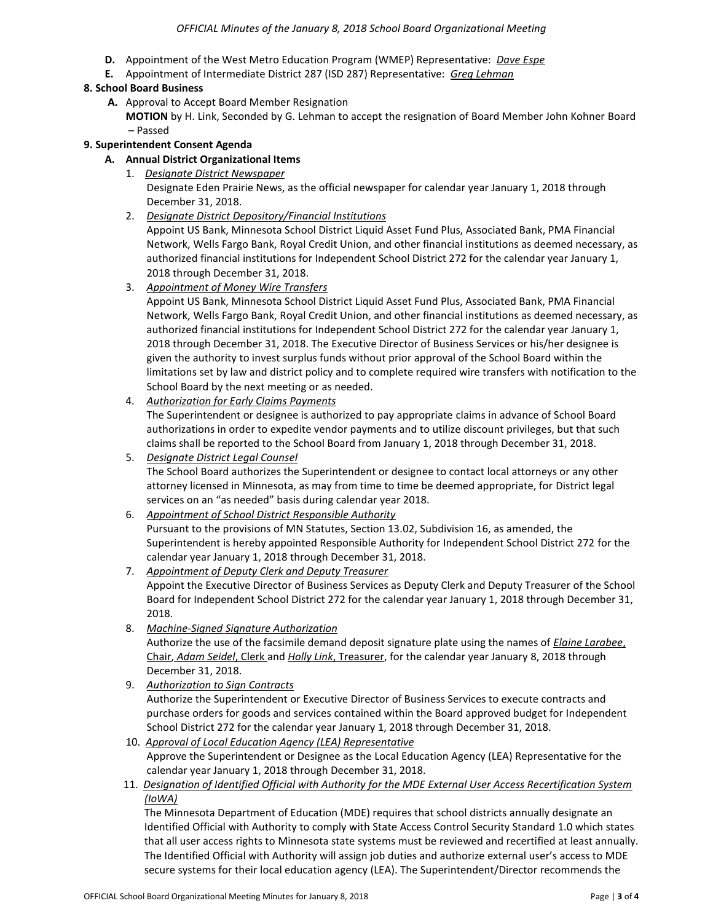- **D.** Appointment of the West Metro Education Program (WMEP) Representative: *Dave Espe*
- **E.** Appointment of Intermediate District 287 (ISD 287) Representative: *Greg Lehman*

### **8. School Board Business**

 **A.** Approval to Accept Board Member Resignation

**MOTION** by H. Link, Seconded by G. Lehman to accept the resignation of Board Member John Kohner Board – Passed

### **9. Superintendent Consent Agenda**

### **A. Annual District Organizational Items**

- 1. *Designate District Newspaper* Designate Eden Prairie News, as the official newspaper for calendar year January 1, 2018 through December 31, 2018.
- 2. *Designate District Depository/Financial Institutions*

Appoint US Bank, Minnesota School District Liquid Asset Fund Plus, Associated Bank, PMA Financial Network, Wells Fargo Bank, Royal Credit Union, and other financial institutions as deemed necessary, as authorized financial institutions for Independent School District 272 for the calendar year January 1, 2018 through December 31, 2018.

3. *Appointment of Money Wire Transfers*

Appoint US Bank, Minnesota School District Liquid Asset Fund Plus, Associated Bank, PMA Financial Network, Wells Fargo Bank, Royal Credit Union, and other financial institutions as deemed necessary, as authorized financial institutions for Independent School District 272 for the calendar year January 1, 2018 through December 31, 2018. The Executive Director of Business Services or his/her designee is given the authority to invest surplus funds without prior approval of the School Board within the limitations set by law and district policy and to complete required wire transfers with notification to the School Board by the next meeting or as needed.

# 4. *Authorization for Early Claims Payments*

The Superintendent or designee is authorized to pay appropriate claims in advance of School Board authorizations in order to expedite vendor payments and to utilize discount privileges, but that such claims shall be reported to the School Board from January 1, 2018 through December 31, 2018.

5. *Designate District Legal Counsel*

The School Board authorizes the Superintendent or designee to contact local attorneys or any other attorney licensed in Minnesota, as may from time to time be deemed appropriate, for District legal services on an "as needed" basis during calendar year 2018.

#### 6. *Appointment of School District Responsible Authority*

Pursuant to the provisions of MN Statutes, Section 13.02, Subdivision 16, as amended, the Superintendent is hereby appointed Responsible Authority for Independent School District 272 for the calendar year January 1, 2018 through December 31, 2018.

- 7. *Appointment of Deputy Clerk and Deputy Treasurer* Appoint the Executive Director of Business Services as Deputy Clerk and Deputy Treasurer of the School Board for Independent School District 272 for the calendar year January 1, 2018 through December 31, 2018.
- 8. *Machine-Signed Signature Authorization* Authorize the use of the facsimile demand deposit signature plate using the names of *Elaine Larabee*, Chair, *Adam Seidel*, Clerk and *Holly Link*, Treasurer, for the calendar year January 8, 2018 through December 31, 2018.
- 9. *Authorization to Sign Contracts* Authorize the Superintendent or Executive Director of Business Services to execute contracts and purchase orders for goods and services contained within the Board approved budget for Independent School District 272 for the calendar year January 1, 2018 through December 31, 2018.
- 10. *Approval of Local Education Agency (LEA) Representative* Approve the Superintendent or Designee as the Local Education Agency (LEA) Representative for the calendar year January 1, 2018 through December 31, 2018.
- 11. *Designation of Identified Official with Authority for the MDE External User Access Recertification System (IoWA)*

 The Minnesota Department of Education (MDE) requires that school districts annually designate an Identified Official with Authority to comply with State Access Control Security Standard 1.0 which states that all user access rights to Minnesota state systems must be reviewed and recertified at least annually.The Identified Official with Authority will assign job duties and authorize external user's access to MDE secure systems for their local education agency (LEA). The Superintendent/Director recommends the